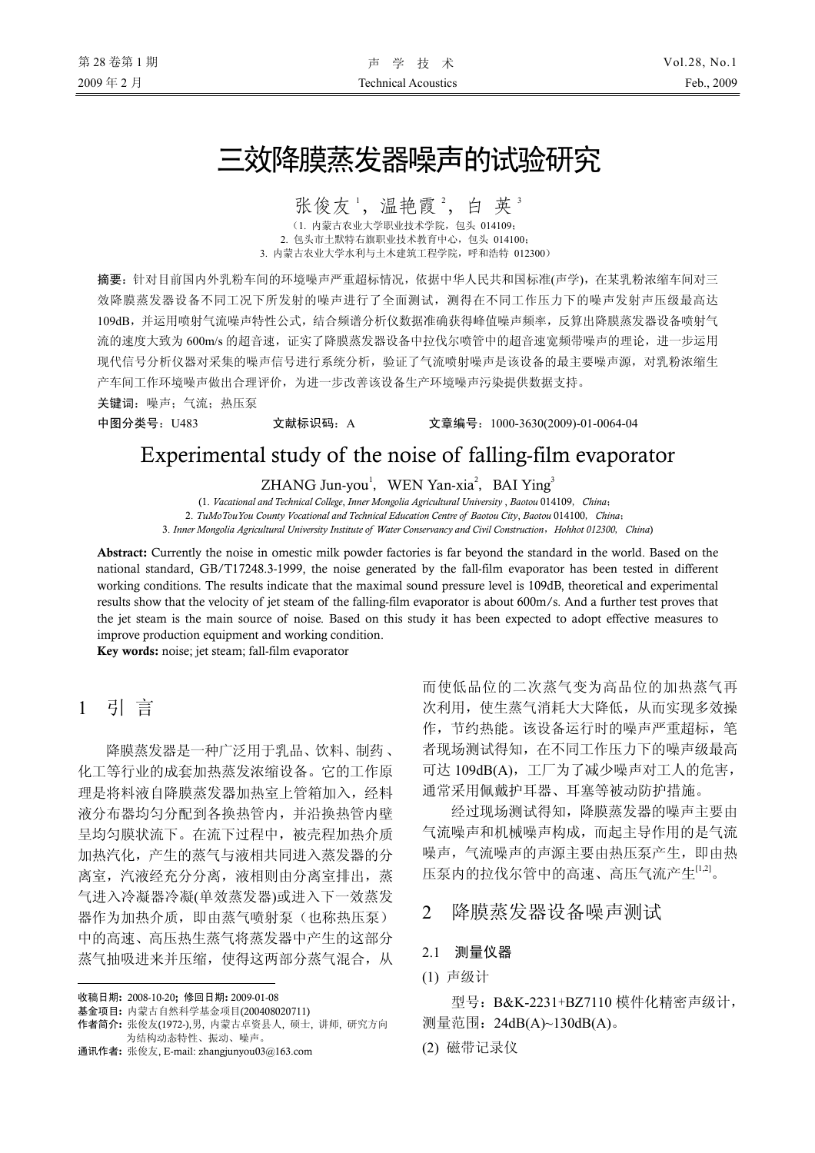# 三效降膜蒸发器噪声的试验研究

张俊友', 温艳霞<sup>2</sup>, 白英"

(1. 内蒙古农业大学职业技术学院,包头 014109; 2. 包头市土默特右旗职业技术教育中心,包头 014100; 3. 内蒙古农业大学水利与土木建筑工程学院,呼和浩特 012300)

摘要:针对目前国内外乳粉车间的环境噪声严重超标情况,依据中华人民共和国标准(声学),在某乳粉浓缩车间对三 效降膜蒸发器设备不同工况下所发射的噪声进行了全面测试,测得在不同工作压力下的噪声发射声压级最高达 109dB,并运用喷射气流噪声特性公式,结合频谱分析仪数据准确获得峰值噪声频率,反算出降膜蒸发器设备喷射气 流的速度大致为 600m/s 的超音速,证实了降膜蒸发器设备中拉伐尔喷管中的超音速宽频带噪声的理论,进一步运用 现代信号分析仪器对采集的噪声信号进行系统分析,验证了气流喷射噪声是该设备的最主要噪声源,对乳粉浓缩生 产车间工作环境噪声做出合理评价,为进一步改善该设备生产环境噪声污染提供数据支持。

关键词:噪声;气流;热压泵

中图分类号:U483 文献标识码:A 文章编号:1000-3630(2009)-01-0064-04

## Experimental study of the noise of falling-film evaporator

ZHANG Jun-you<sup>1</sup>, WEN Yan-xia<sup>2</sup>, BAI Ying<sup>3</sup>

(1. *Vacational and Technical College*, *Inner Mongolia Agricultural University* , *Baotou* 014109, *China*;

2. *TuMoTouYou County Vocational and Technical Education Centre of Baotou City*, *Baotou* 014100, *China*;

3. *Inner Mongolia Agricultural University Institute of Water Conservancy and Civil Construction*,*Hohhot 012300*, *China*)

Abstract: Currently the noise in omestic milk powder factories is far beyond the standard in the world. Based on the national standard, GB/T17248.3-1999, the noise generated by the fall-film evaporator has been tested in different working conditions. The results indicate that the maximal sound pressure level is 109dB, theoretical and experimental results show that the velocity of jet steam of the falling-film evaporator is about 600m/s. And a further test proves that the jet steam is the main source of noise. Based on this study it has been expected to adopt effective measures to improve production equipment and working condition.

Key words: noise; jet steam; fall-film evaporator

### 1 引 言

 $\overline{a}$ 

降膜蒸发器是一种广泛用于乳品、饮料、制药、 化工等行业的成套加热蒸发浓缩设备。它的工作原 理是将料液自降膜蒸发器加热室上管箱加入,经料 液分布器均匀分配到各换热管内,并沿换热管内壁 呈均匀膜状流下。在流下过程中,被壳程加热介质 加热汽化,产生的蒸气与液相共同进入蒸发器的分 离室,汽液经充分分离,液相则由分离室排出,蒸 气进入冷凝器冷凝(单效蒸发器)或进入下一效蒸发 器作为加热介质,即由蒸气喷射泵(也称热压泵) 中的高速、高压热生蒸气将蒸发器中产生的这部分 蒸气抽吸进来并压缩,使得这两部分蒸气混合,从

收稿日期: 2008-10-20; 修回日期: 2009-01-08

基金项目: 内蒙古自然科学基金项目(200408020711)

作者简介: 张俊友(1972-),男, 内蒙古卓资县人, 硕士, 讲师, 研究方向 为结构动态特性、振动、噪声。

通讯作者: 张俊友, E-mail: zhangjunyou03@163.com

而使低品位的二次蒸气变为高品位的加热蒸气再 次利用,使生蒸气消耗大大降低,从而实现多效操 作,节约热能。该设备运行时的噪声严重超标,笔 者现场测试得知,在不同工作压力下的噪声级最高 可达 109dB(A),工厂为了减少噪声对工人的危害, 通常采用佩戴护耳器、耳塞等被动防护措施。

经过现场测试得知,降膜蒸发器的噪声主要由 气流噪声和机械噪声构成,而起主导作用的是气流 噪声,气流噪声的声源主要由热压泵产生,即由热 压泵内的拉伐尔管中的高速、高压气流产生[1,2] 。

2 降膜蒸发器设备噪声测试

- 2.1 测量仪器
- (1) 声级计

型号:B&K-2231+BZ7110 模件化精密声级计, 测量范围:24dB(A)~130dB(A)。

(2) 磁带记录仪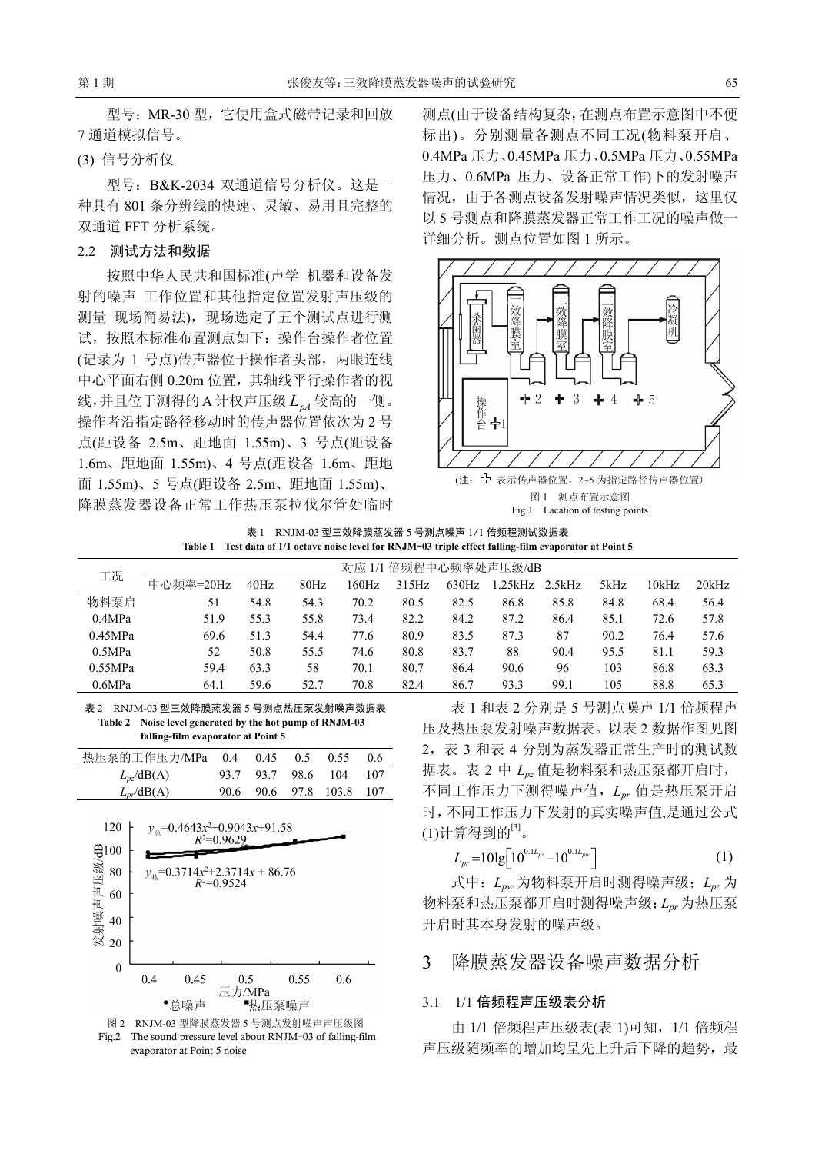型号:MR-30 型,它使用盒式磁带记录和回放 7 通道模拟信号。

#### (3) 信号分析仪

型号:B&K-2034 双通道信号分析仪。这是一 种具有 801 条分辨线的快速、灵敏、易用且完整的 双通道 FFT 分析系统。

#### 2.2 测试方法和数据

按照中华人民共和国标准(声学 机器和设备发 射的噪声 工作位置和其他指定位置发射声压级的 测量 现场简易法),现场选定了五个测试点进行测 试,按照本标准布置测点如下:操作台操作者位置 (记录为 1 号点)传声器位于操作者头部,两眼连线 中心平面右侧 0.20m 位置, 其轴线平行操作者的视 线,并且位于测得的A计权声压级LnA 较高的一侧。 操作者沿指定路径移动时的传声器位置依次为 2 号 点(距设备 2.5m、距地面 1.55m)、3 号点(距设备 1.6m、距地面 1.55m)、4 号点(距设备 1.6m、距地 面 1.55m)、5 号点(距设备 2.5m、距地面 1.55m)、 降膜蒸发器设备正常工作热压泵拉伐尔管处临时

测点(由于设备结构复杂,在测点布置示意图中不便 标出)。分别测量各测点不同工况(物料泵开启、 0.4MPa 压力、0.45MPa 压力、0.5MPa 压力、0.55MPa 压力、0.6MPa 压力、设备正常工作)下的发射噪声 情况,由于各测点设备发射噪声情况类似,这里仅 以 5 号测点和降膜蒸发器正常工作工况的噪声做一 详细分析。测点位置如图 1 所示。



表 1 RNJM-03 型三效降膜蒸发器 5 号测点噪声 1/1 倍频程测试数据表 **Table 1 Test data of 1/1 octave noise level for RNJM**-**03 triple effect falling-film evaporator at Point 5** 

| 工况      | 对应 1/1 倍频程中心频率处声压级/dB |      |      |       |       |       |        |        |      |       |       |
|---------|-----------------------|------|------|-------|-------|-------|--------|--------|------|-------|-------|
|         | 中心频率=20Hz             | 40Hz | 80Hz | 160Hz | 315Hz | 630Hz | .25kHz | 2.5kHz | 5kHz | 10kHz | 20kHz |
| 物料泵启    | 51                    | 54.8 | 54.3 | 70.2  | 80.5  | 82.5  | 86.8   | 85.8   | 84.8 | 68.4  | 56.4  |
| 0.4MPa  | 51.9                  | 55.3 | 55.8 | 73.4  | 82.2  | 84.2  | 87.2   | 86.4   | 85.1 | 72.6  | 57.8  |
| 0.45MPa | 69.6                  | 51.3 | 54.4 | 77.6  | 80.9  | 83.5  | 87.3   | 87     | 90.2 | 76.4  | 57.6  |
| 0.5MPa  | 52                    | 50.8 | 55.5 | 74.6  | 80.8  | 83.7  | 88     | 90.4   | 95.5 | 81.1  | 59.3  |
| 0.55MPa | 59.4                  | 63.3 | 58   | 70.1  | 80.7  | 86.4  | 90.6   | 96     | 103  | 86.8  | 63.3  |
| 0.6MPa  | 64.1                  | 59.6 | 52.7 | 70.8  | 82.4  | 86.7  | 93.3   | 99.1   | 105  | 88.8  | 65.3  |

表 2 RNJM-03 型三效降膜蒸发器 5 号测点热压泵发射噪声数据表 **Table 2 Noise level generated by the hot pump of RNJM-03 falling-film evaporator at Point 5** 

| 热压泵的工作压力/MPa 0.4 0.45 |                    | 0.5 | $0.55$ 0.6               |       |
|-----------------------|--------------------|-----|--------------------------|-------|
| $L_{nz}/dB(A)$        | 93.7 93.7 98.6 104 |     |                          | - 107 |
| $L_{pr}$ /dB(A)       |                    |     | 90.6 90.6 97.8 103.8 107 |       |





表 1 和表 2 分别是 5 号测点噪声 1/1 倍频程声 压及热压泵发射噪声数据表。以表 2 数据作图见图 2,表 3 和表 4 分别为蒸发器正常生产时的测试数 据表。表 2 中 *Lpz* 值是物料泵和热压泵都开启时, 不同工作压力下测得噪声值,*Lpr* 值是热压泵开启 时,不同工作压力下发射的真实噪声值,是通过公式 (1)计算得到的 $^{\scriptscriptstyle [3]}$ 。

$$
L_{pr} = 10 \lg \left[ 10^{0.1L_{pr}} - 10^{0.1L_{pr}} \right] \tag{1}
$$

式中:*Lpw* 为物料泵开启时测得噪声级;*Lpz* 为 物料泵和热压泵都开启时测得噪声级;*Lpr* 为热压泵 开启时其本身发射的噪声级。

### 3 降膜蒸发器设备噪声数据分析

#### 3.1 1/1 倍频程声压级表分析

由 1/1 倍频程声压级表(表 1)可知,1/1 倍频程 声压级随频率的增加均呈先上升后下降的趋势,最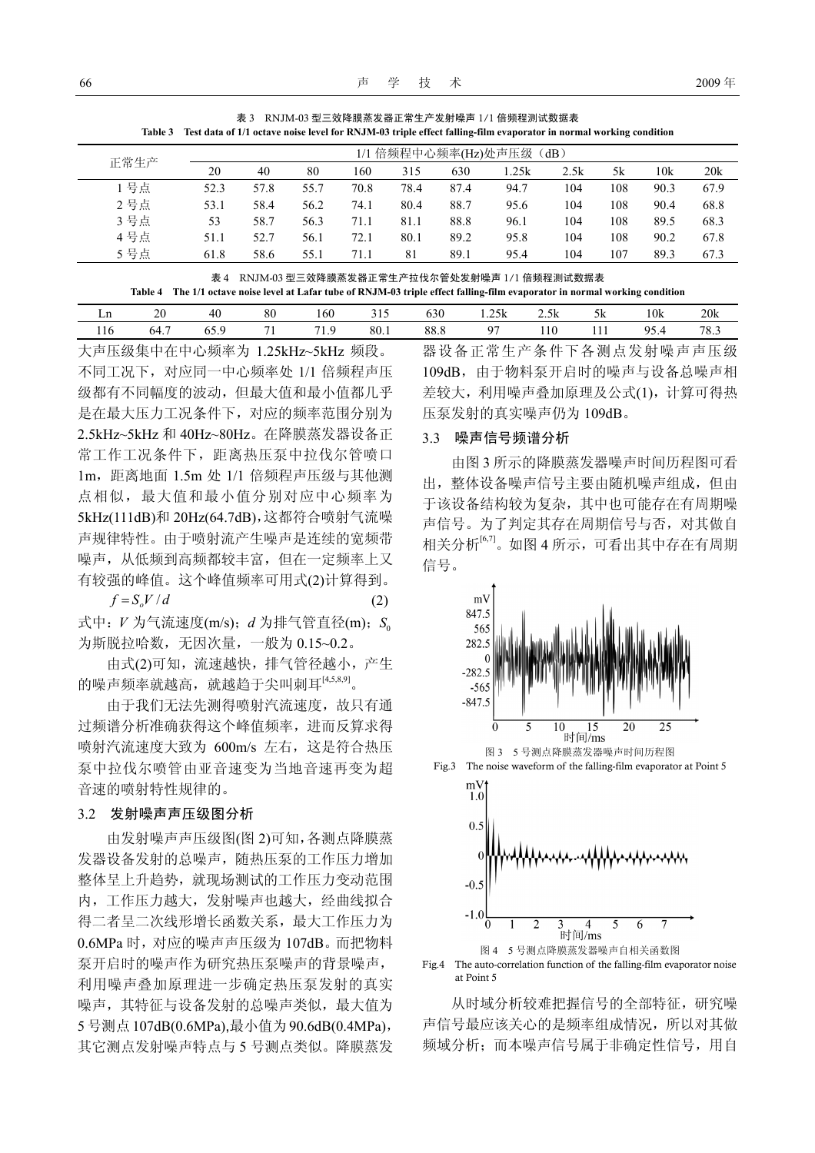|  | 表 3 RNJM-03 型三效降膜蒸发器正常生产发射噪声 1/1 倍频程测试数据表                                                                                 |
|--|---------------------------------------------------------------------------------------------------------------------------|
|  | Table 3 Test data of 1/1 octave noise level for RNJM-03 triple effect falling-film evaporator in normal working condition |

| 正常生产 | 1/1 倍频程中心频率(Hz)处声压级(dB) |      |      |      |      |      |      |      |     |      |      |
|------|-------------------------|------|------|------|------|------|------|------|-----|------|------|
|      | 20                      | 40   | 80   | 160  | 315  | 630  | .25k | 2.5k | 5k  | 10k  | 20k  |
| 号点   | 52.3                    | 57.8 | 55.7 | 70.8 | 78.4 | 87.4 | 94.7 | 104  | 108 | 90.3 | 67.9 |
| 2号点  | 53.1                    | 58.4 | 56.2 | 74.1 | 80.4 | 88.7 | 95.6 | 104  | 108 | 90.4 | 68.8 |
| 3号点  | 53                      | 58.7 | 56.3 | 71.1 | 81.1 | 88.8 | 96.1 | 104  | 108 | 89.5 | 68.3 |
| 4号点  | 51.1                    | 52.7 | 56.1 | 72.1 | 80.1 | 89.2 | 95.8 | 104  | 108 | 90.2 | 67.8 |
| 5号点  | 61.8                    | 58.6 | 55.1 | 71.1 | 81   | 89.1 | 95.4 | 104  | 107 | 89.3 | 67.3 |

表 4 RNJM-03 型三效降膜蒸发器正常生产拉伐尔管处发射噪声 1/1 倍频程测试数据表 **Table 4 The 1/1 octave noise level at Lafar tube of RNJM-03 triple effect falling-film evaporator in normal working condition**

| <b>M</b><br>LШ | o۵<br>ZV | 40         | 80   | 160     | 215<br>ر 1 ر | $\sim$<br>03U | 1.25k    | 2.5k | 5k         | 10k         | 20k                 |
|----------------|----------|------------|------|---------|--------------|---------------|----------|------|------------|-------------|---------------------|
| 116            | 64.,     | ь.<br>∪J., | $-1$ | 71<br>. | 80.1         | 88.8          | $\Omega$ | 110  | <b>III</b> | 05<br>ד. שי | $70^{\circ}$<br>د.ه |

大声压级集中在中心频率为 1.25kHz~5kHz 频段。 不同工况下,对应同一中心频率处 1/1 倍频程声压 级都有不同幅度的波动,但最大值和最小值都几乎 是在最大压力工况条件下,对应的频率范围分别为 2.5kHz~5kHz 和 40Hz~80Hz。在降膜蒸发器设备正 常工作工况条件下,距离热压泵中拉伐尔管喷口 1m,距离地面 1.5m 处 1/1 倍频程声压级与其他测 点相似,最大值和最小值分别对应中心频率为 5kHz(111dB)和 20Hz(64.7dB),这都符合喷射气流噪 声规律特性。由于喷射流产生噪声是连续的宽频带 噪声,从低频到高频都较丰富,但在一定频率上又 有较强的峰值。这个峰值频率可用式(2)计算得到。

 $f = S_o V/d$  (2) 式中: *V* 为气流速度(m/s): *d* 为排气管直径(m): S<sub>0</sub>

为斯脱拉哈数,无因次量,一般为 0.15~0.2。

由式(2)可知,流速越快,排气管径越小,产生 的噪声频率就越高,就越趋于尖叫刺耳[4,5,8,9]。

由于我们无法先测得喷射汽流速度,故只有通 过频谱分析准确获得这个峰值频率,进而反算求得 喷射汽流速度大致为 600m/s 左右,这是符合热压 泵中拉伐尔喷管由亚音速变为当地音速再变为超 音速的喷射特性规律的。

#### 3.2 发射噪声声压级图分析

由发射噪声声压级图(图 2)可知,各测点降膜蒸 发器设备发射的总噪声,随热压泵的工作压力增加 整体呈上升趋势,就现场测试的工作压力变动范围 内,工作压力越大,发射噪声也越大,经曲线拟合 得二者呈二次线形增长函数关系,最大工作压力为 0.6MPa 时,对应的噪声声压级为 107dB。而把物料 泵开启时的噪声作为研究热压泵噪声的背景噪声, 利用噪声叠加原理进一步确定热压泵发射的真实 噪声,其特征与设备发射的总噪声类似,最大值为 5号测点107dB(0.6MPa),最小值为90.6dB(0.4MPa), 其它测点发射噪声特点与 5 号测点类似。降膜蒸发 器设备正常生产条件下各测点发射噪声声压级 109dB,由于物料泵开启时的噪声与设备总噪声相 差较大,利用噪声叠加原理及公式(1),计算可得热 压泵发射的真实噪声仍为 109dB。

#### 3.3 噪声信号频谱分析

由图 3 所示的降膜蒸发器噪声时间历程图可看 出,整体设备噪声信号主要由随机噪声组成,但由 于该设备结构较为复杂,其中也可能存在有周期噪 声信号。为了判定其存在周期信号与否,对其做自 相关分析[6,7]。如图 4 所示,可看出其中存在有周期 信号。





从时域分析较难把握信号的全部特征,研究噪 声信号最应该关心的是频率组成情况,所以对其做 频域分析;而本噪声信号属于非确定性信号,用自